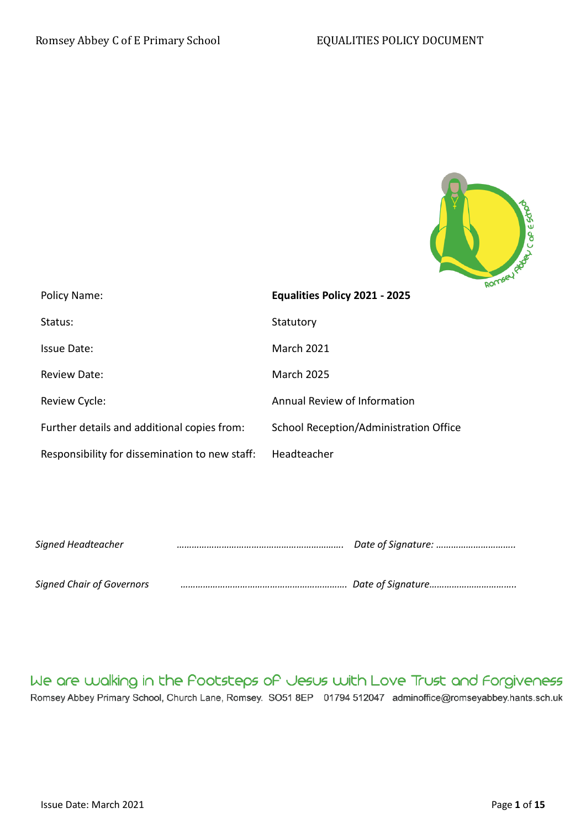

| Policy Name:                                   | w-<br>Equalities Policy 2021 - 2025    |
|------------------------------------------------|----------------------------------------|
| Status:                                        | Statutory                              |
| Issue Date:                                    | <b>March 2021</b>                      |
| <b>Review Date:</b>                            | <b>March 2025</b>                      |
| Review Cycle:                                  | Annual Review of Information           |
| Further details and additional copies from:    | School Reception/Administration Office |
| Responsibility for dissemination to new staff: | Headteacher                            |

| Signed Headteacher               | Date of Signature: |  |
|----------------------------------|--------------------|--|
|                                  |                    |  |
| <b>Signed Chair of Governors</b> |                    |  |

We are walking in the Pootsteps of Jesus with Love Trust and Forgiveness Romsey Abbey Primary School, Church Lane, Romsey. SO51 8EP 01794 512047 adminoffice@romseyabbey.hants.sch.uk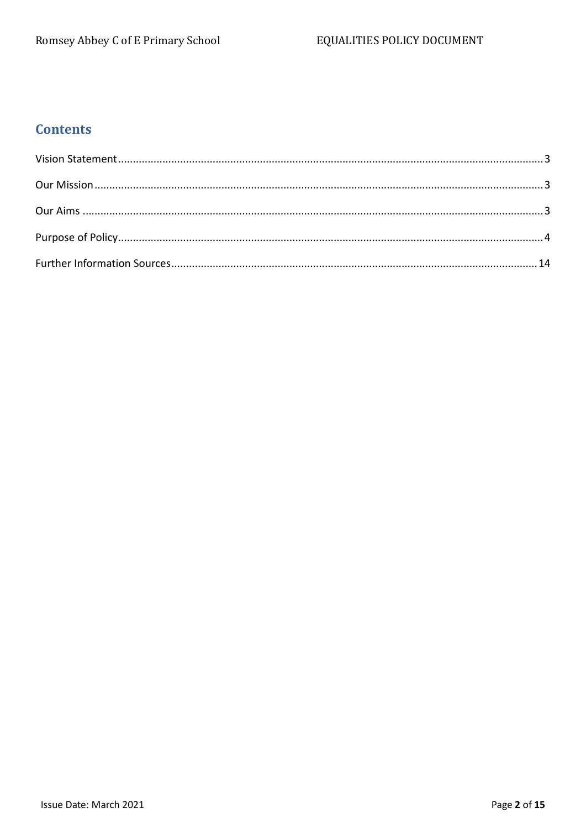# **Contents**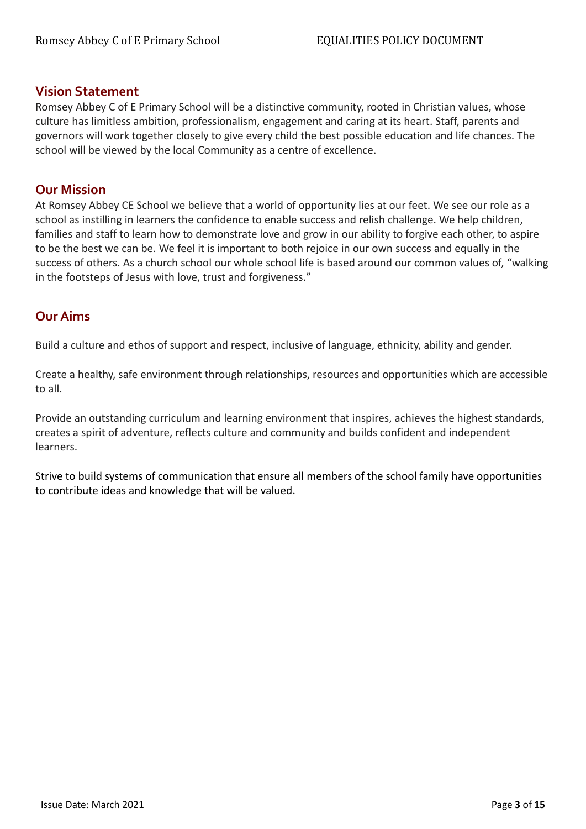## <span id="page-2-0"></span>**Vision Statement**

Romsey Abbey C of E Primary School will be a distinctive community, rooted in Christian values, whose culture has limitless ambition, professionalism, engagement and caring at its heart. Staff, parents and governors will work together closely to give every child the best possible education and life chances. The school will be viewed by the local Community as a centre of excellence.

# <span id="page-2-1"></span>**Our Mission**

At Romsey Abbey CE School we believe that a world of opportunity lies at our feet. We see our role as a school as instilling in learners the confidence to enable success and relish challenge. We help children, families and staff to learn how to demonstrate love and grow in our ability to forgive each other, to aspire to be the best we can be. We feel it is important to both rejoice in our own success and equally in the success of others. As a church school our whole school life is based around our common values of, "walking in the footsteps of Jesus with love, trust and forgiveness."

# <span id="page-2-2"></span>**Our Aims**

Build a culture and ethos of support and respect, inclusive of language, ethnicity, ability and gender.

Create a healthy, safe environment through relationships, resources and opportunities which are accessible to all.

Provide an outstanding curriculum and learning environment that inspires, achieves the highest standards, creates a spirit of adventure, reflects culture and community and builds confident and independent learners.

Strive to build systems of communication that ensure all members of the school family have opportunities to contribute ideas and knowledge that will be valued.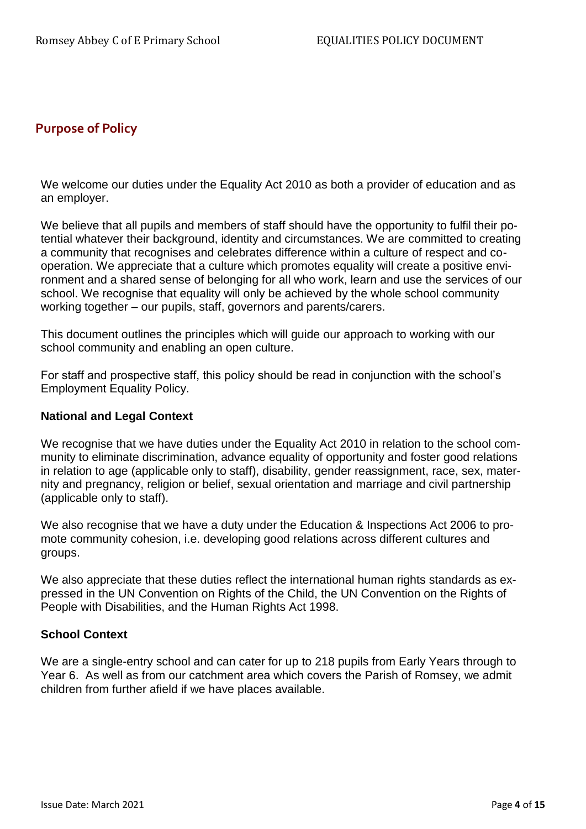# <span id="page-3-0"></span>**Purpose of Policy**

We welcome our duties under the Equality Act 2010 as both a provider of education and as an employer.

We believe that all pupils and members of staff should have the opportunity to fulfil their potential whatever their background, identity and circumstances. We are committed to creating a community that recognises and celebrates difference within a culture of respect and cooperation. We appreciate that a culture which promotes equality will create a positive environment and a shared sense of belonging for all who work, learn and use the services of our school. We recognise that equality will only be achieved by the whole school community working together – our pupils, staff, governors and parents/carers.

This document outlines the principles which will guide our approach to working with our school community and enabling an open culture.

For staff and prospective staff, this policy should be read in conjunction with the school's Employment Equality Policy.

#### **National and Legal Context**

We recognise that we have duties under the Equality Act 2010 in relation to the school community to eliminate discrimination, advance equality of opportunity and foster good relations in relation to age (applicable only to staff), disability, gender reassignment, race, sex, maternity and pregnancy, religion or belief, sexual orientation and marriage and civil partnership (applicable only to staff).

We also recognise that we have a duty under the Education & Inspections Act 2006 to promote community cohesion, i.e. developing good relations across different cultures and groups.

We also appreciate that these duties reflect the international human rights standards as expressed in the UN Convention on Rights of the Child, the UN Convention on the Rights of People with Disabilities, and the Human Rights Act 1998.

#### **School Context**

We are a single-entry school and can cater for up to 218 pupils from Early Years through to Year 6. As well as from our catchment area which covers the Parish of Romsey, we admit children from further afield if we have places available.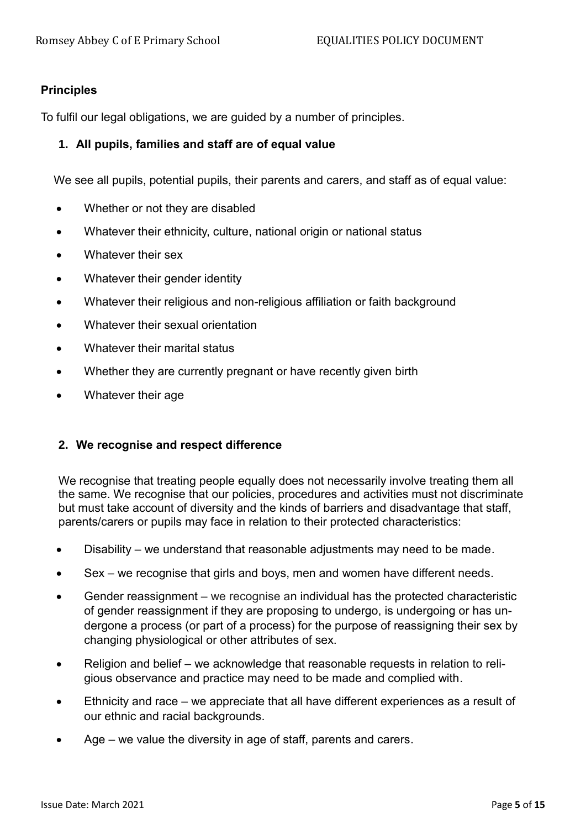## **Principles**

To fulfil our legal obligations, we are guided by a number of principles.

## **1. All pupils, families and staff are of equal value**

We see all pupils, potential pupils, their parents and carers, and staff as of equal value:

- Whether or not they are disabled
- Whatever their ethnicity, culture, national origin or national status
- Whatever their sex
- Whatever their gender identity
- Whatever their religious and non-religious affiliation or faith background
- Whatever their sexual orientation
- Whatever their marital status
- Whether they are currently pregnant or have recently given birth
- Whatever their age

# **2. We recognise and respect difference**

We recognise that treating people equally does not necessarily involve treating them all the same. We recognise that our policies, procedures and activities must not discriminate but must take account of diversity and the kinds of barriers and disadvantage that staff, parents/carers or pupils may face in relation to their protected characteristics:

- Disability we understand that reasonable adjustments may need to be made.
- Sex we recognise that girls and boys, men and women have different needs.
- Gender reassignment we recognise an individual has the protected characteristic of gender reassignment if they are proposing to undergo, is undergoing or has undergone a process (or part of a process) for the purpose of reassigning their sex by changing physiological or other attributes of sex.
- Religion and belief we acknowledge that reasonable requests in relation to religious observance and practice may need to be made and complied with.
- Ethnicity and race we appreciate that all have different experiences as a result of our ethnic and racial backgrounds.
- Age we value the diversity in age of staff, parents and carers.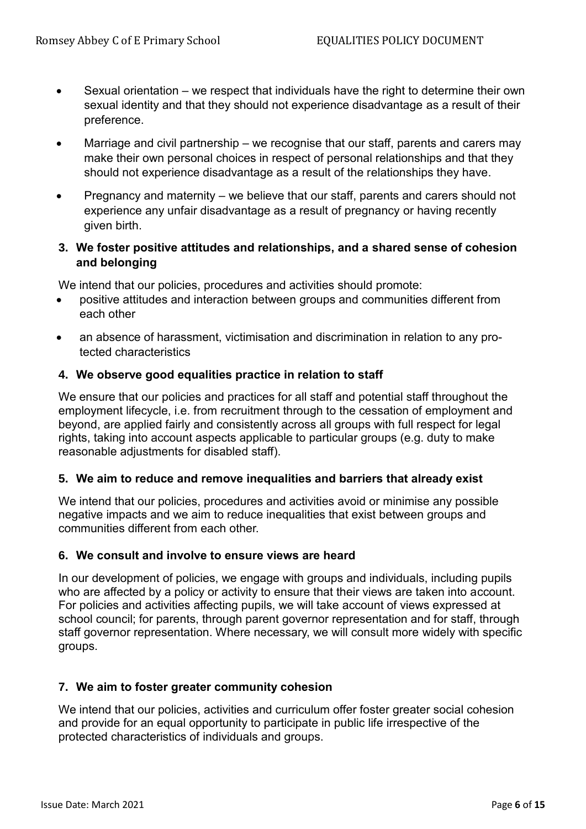- Sexual orientation we respect that individuals have the right to determine their own sexual identity and that they should not experience disadvantage as a result of their preference.
- Marriage and civil partnership we recognise that our staff, parents and carers may make their own personal choices in respect of personal relationships and that they should not experience disadvantage as a result of the relationships they have.
- Pregnancy and maternity we believe that our staff, parents and carers should not experience any unfair disadvantage as a result of pregnancy or having recently given birth.

# **3. We foster positive attitudes and relationships, and a shared sense of cohesion and belonging**

We intend that our policies, procedures and activities should promote:

- positive attitudes and interaction between groups and communities different from each other
- an absence of harassment, victimisation and discrimination in relation to any protected characteristics

# **4. We observe good equalities practice in relation to staff**

We ensure that our policies and practices for all staff and potential staff throughout the employment lifecycle, i.e. from recruitment through to the cessation of employment and beyond, are applied fairly and consistently across all groups with full respect for legal rights, taking into account aspects applicable to particular groups (e.g. duty to make reasonable adjustments for disabled staff).

#### **5. We aim to reduce and remove inequalities and barriers that already exist**

We intend that our policies, procedures and activities avoid or minimise any possible negative impacts and we aim to reduce inequalities that exist between groups and communities different from each other.

#### **6. We consult and involve to ensure views are heard**

In our development of policies, we engage with groups and individuals, including pupils who are affected by a policy or activity to ensure that their views are taken into account. For policies and activities affecting pupils, we will take account of views expressed at school council; for parents, through parent governor representation and for staff, through staff governor representation. Where necessary, we will consult more widely with specific groups.

# **7. We aim to foster greater community cohesion**

We intend that our policies, activities and curriculum offer foster greater social cohesion and provide for an equal opportunity to participate in public life irrespective of the protected characteristics of individuals and groups.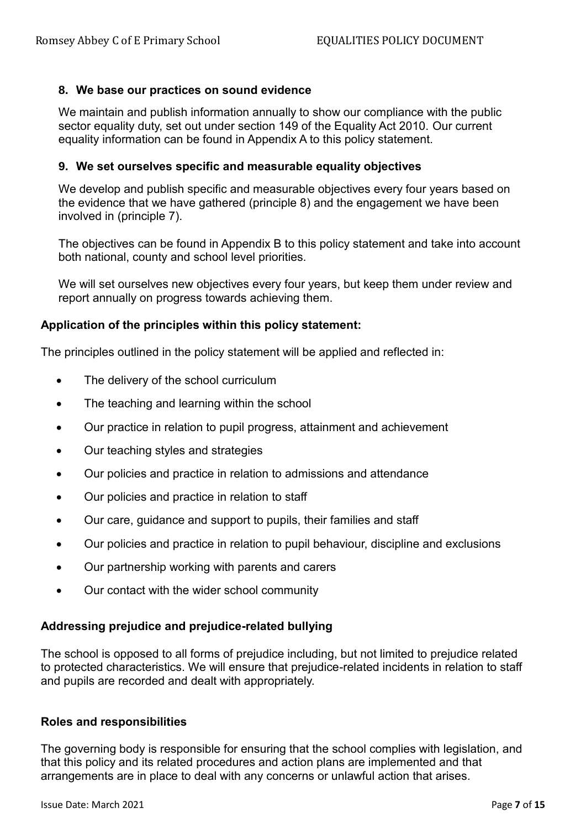## **8. We base our practices on sound evidence**

We maintain and publish information annually to show our compliance with the public sector equality duty, set out under section 149 of the Equality Act 2010. Our current equality information can be found in Appendix A to this policy statement.

#### **9. We set ourselves specific and measurable equality objectives**

We develop and publish specific and measurable objectives every four years based on the evidence that we have gathered (principle 8) and the engagement we have been involved in (principle 7).

The objectives can be found in Appendix B to this policy statement and take into account both national, county and school level priorities.

We will set ourselves new objectives every four years, but keep them under review and report annually on progress towards achieving them.

#### **Application of the principles within this policy statement:**

The principles outlined in the policy statement will be applied and reflected in:

- The delivery of the school curriculum
- The teaching and learning within the school
- Our practice in relation to pupil progress, attainment and achievement
- Our teaching styles and strategies
- Our policies and practice in relation to admissions and attendance
- Our policies and practice in relation to staff
- Our care, guidance and support to pupils, their families and staff
- Our policies and practice in relation to pupil behaviour, discipline and exclusions
- Our partnership working with parents and carers
- Our contact with the wider school community

#### **Addressing prejudice and prejudice-related bullying**

The school is opposed to all forms of prejudice including, but not limited to prejudice related to protected characteristics. We will ensure that prejudice-related incidents in relation to staff and pupils are recorded and dealt with appropriately.

#### **Roles and responsibilities**

The governing body is responsible for ensuring that the school complies with legislation, and that this policy and its related procedures and action plans are implemented and that arrangements are in place to deal with any concerns or unlawful action that arises.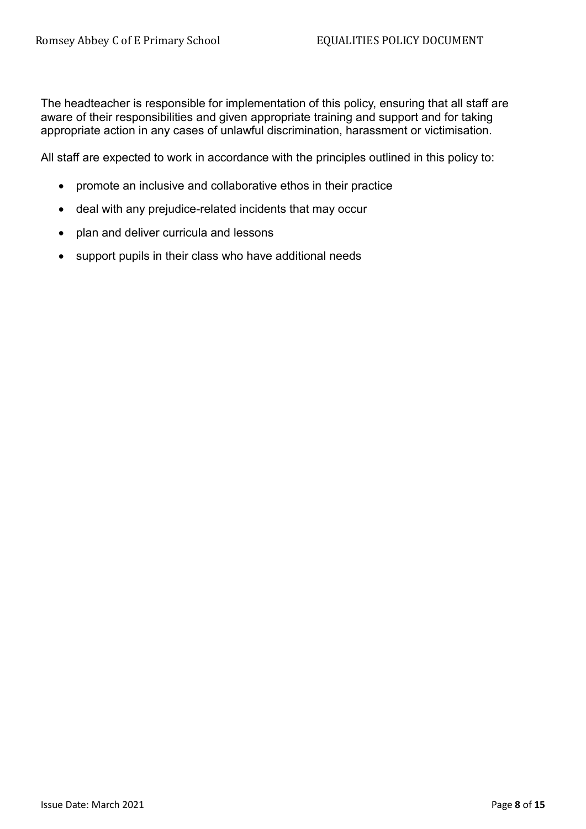The headteacher is responsible for implementation of this policy, ensuring that all staff are aware of their responsibilities and given appropriate training and support and for taking appropriate action in any cases of unlawful discrimination, harassment or victimisation.

All staff are expected to work in accordance with the principles outlined in this policy to:

- promote an inclusive and collaborative ethos in their practice
- deal with any prejudice-related incidents that may occur
- plan and deliver curricula and lessons
- support pupils in their class who have additional needs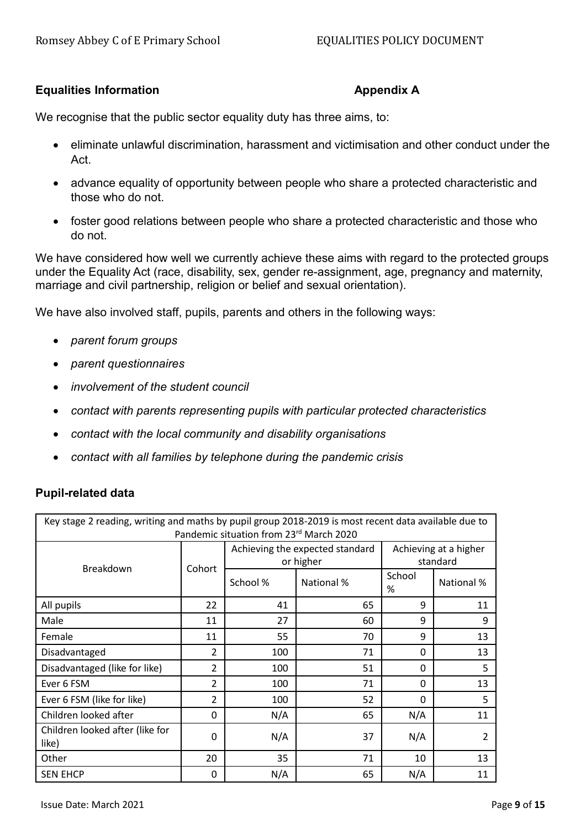## **Equalities Information Appendix A**

We recognise that the public sector equality duty has three aims, to:

- eliminate unlawful discrimination, harassment and victimisation and other conduct under the Act.
- advance equality of opportunity between people who share a protected characteristic and those who do not.
- foster good relations between people who share a protected characteristic and those who do not.

We have considered how well we currently achieve these aims with regard to the protected groups under the Equality Act (race, disability, sex, gender re-assignment, age, pregnancy and maternity, marriage and civil partnership, religion or belief and sexual orientation).

We have also involved staff, pupils, parents and others in the following ways:

- *parent forum groups*
- *parent questionnaires*
- *involvement of the student council*
- *contact with parents representing pupils with particular protected characteristics*
- *contact with the local community and disability organisations*
- *contact with all families by telephone during the pandemic crisis*

#### **Pupil-related data**

| Key stage 2 reading, writing and maths by pupil group 2018-2019 is most recent data available due to<br>Pandemic situation from 23rd March 2020 |                |                                              |            |                                   |                |
|-------------------------------------------------------------------------------------------------------------------------------------------------|----------------|----------------------------------------------|------------|-----------------------------------|----------------|
| Breakdown                                                                                                                                       | Cohort         | Achieving the expected standard<br>or higher |            | Achieving at a higher<br>standard |                |
|                                                                                                                                                 |                | School %                                     | National % | School<br>%                       | National %     |
| All pupils                                                                                                                                      | 22             | 41                                           | 65         | 9                                 | 11             |
| Male                                                                                                                                            | 11             | 27                                           | 60         | 9                                 | 9              |
| Female                                                                                                                                          | 11             | 55                                           | 70         | 9                                 | 13             |
| Disadvantaged                                                                                                                                   | 2              | 100                                          | 71         | $\mathbf 0$                       | 13             |
| Disadvantaged (like for like)                                                                                                                   | 2              | 100                                          | 51         | 0                                 | 5              |
| Ever 6 FSM                                                                                                                                      | $\overline{2}$ | 100                                          | 71         | 0                                 | 13             |
| Ever 6 FSM (like for like)                                                                                                                      | $\overline{2}$ | 100                                          | 52         | $\mathbf 0$                       | 5              |
| Children looked after                                                                                                                           | $\Omega$       | N/A                                          | 65         | N/A                               | 11             |
| Children looked after (like for<br>like)                                                                                                        | $\Omega$       | N/A                                          | 37         | N/A                               | $\overline{2}$ |
| Other                                                                                                                                           | 20             | 35                                           | 71         | 10                                | 13             |
| <b>SEN EHCP</b>                                                                                                                                 | 0              | N/A                                          | 65         | N/A                               | 11             |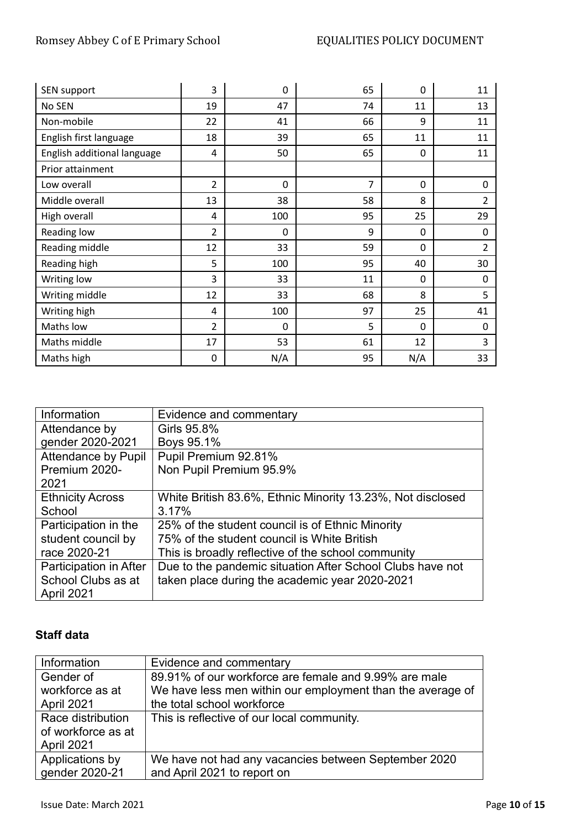# Romsey Abbey C of E Primary School **EQUALITIES POLICY DOCUMENT**

| SEN support                 | 3              | 0   | 65 | $\mathbf 0$ | 11             |
|-----------------------------|----------------|-----|----|-------------|----------------|
| No SEN                      | 19             | 47  | 74 | 11          | 13             |
| Non-mobile                  | 22             | 41  | 66 | 9           | 11             |
| English first language      | 18             | 39  | 65 | 11          | 11             |
| English additional language | 4              | 50  | 65 | 0           | 11             |
| Prior attainment            |                |     |    |             |                |
| Low overall                 | $\overline{2}$ | 0   | 7  | $\mathbf 0$ | $\mathbf 0$    |
| Middle overall              | 13             | 38  | 58 | 8           | $\overline{2}$ |
| High overall                | 4              | 100 | 95 | 25          | 29             |
| Reading low                 | $\overline{2}$ | 0   | 9  | 0           | $\pmb{0}$      |
| Reading middle              | 12             | 33  | 59 | 0           | $\overline{2}$ |
| Reading high                | 5              | 100 | 95 | 40          | 30             |
| Writing low                 | 3              | 33  | 11 | 0           | 0              |
| Writing middle              | 12             | 33  | 68 | 8           | 5              |
| Writing high                | 4              | 100 | 97 | 25          | 41             |
| Maths low                   | $\overline{2}$ | 0   | 5  | 0           | 0              |
| Maths middle                | 17             | 53  | 61 | 12          | 3              |
| Maths high                  | 0              | N/A | 95 | N/A         | 33             |

| Information                | Evidence and commentary                                    |
|----------------------------|------------------------------------------------------------|
| Attendance by              | Girls 95.8%                                                |
| gender 2020-2021           | Boys 95.1%                                                 |
| <b>Attendance by Pupil</b> | Pupil Premium 92.81%                                       |
| Premium 2020-              | Non Pupil Premium 95.9%                                    |
| 2021                       |                                                            |
| <b>Ethnicity Across</b>    | White British 83.6%, Ethnic Minority 13.23%, Not disclosed |
| School                     | 3.17%                                                      |
| Participation in the       | 25% of the student council is of Ethnic Minority           |
| student council by         | 75% of the student council is White British                |
| race 2020-21               | This is broadly reflective of the school community         |
| Participation in After     | Due to the pandemic situation After School Clubs have not  |
| School Clubs as at         | taken place during the academic year 2020-2021             |
| April 2021                 |                                                            |

# **Staff data**

| Information        | Evidence and commentary                                    |
|--------------------|------------------------------------------------------------|
| Gender of          | 89.91% of our workforce are female and 9.99% are male      |
| workforce as at    | We have less men within our employment than the average of |
| April 2021         | the total school workforce                                 |
| Race distribution  | This is reflective of our local community.                 |
| of workforce as at |                                                            |
| April 2021         |                                                            |
| Applications by    | We have not had any vacancies between September 2020       |
| gender 2020-21     | and April 2021 to report on                                |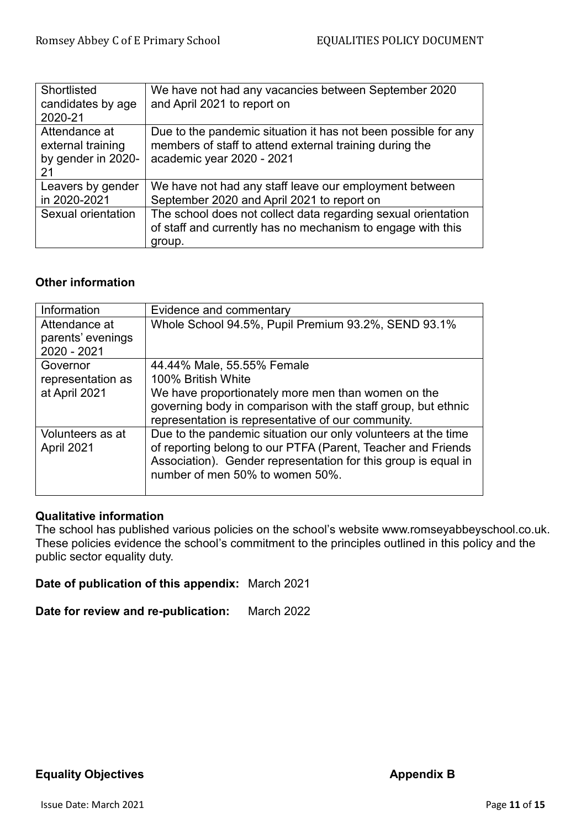| Shortlisted<br>candidates by age<br>2020-21                    | We have not had any vacancies between September 2020<br>and April 2021 to report on                                                                    |
|----------------------------------------------------------------|--------------------------------------------------------------------------------------------------------------------------------------------------------|
| Attendance at<br>external training<br>by gender in 2020-<br>21 | Due to the pandemic situation it has not been possible for any<br>members of staff to attend external training during the<br>academic year 2020 - 2021 |
| Leavers by gender<br>in 2020-2021                              | We have not had any staff leave our employment between<br>September 2020 and April 2021 to report on                                                   |
| Sexual orientation                                             | The school does not collect data regarding sexual orientation<br>of staff and currently has no mechanism to engage with this<br>group.                 |

# **Other information**

| Evidence and commentary                                                                                                                                                                                                            |
|------------------------------------------------------------------------------------------------------------------------------------------------------------------------------------------------------------------------------------|
| Whole School 94.5%, Pupil Premium 93.2%, SEND 93.1%                                                                                                                                                                                |
|                                                                                                                                                                                                                                    |
| 44.44% Male, 55.55% Female                                                                                                                                                                                                         |
| 100% British White                                                                                                                                                                                                                 |
| We have proportionately more men than women on the                                                                                                                                                                                 |
| governing body in comparison with the staff group, but ethnic                                                                                                                                                                      |
| representation is representative of our community.                                                                                                                                                                                 |
| Due to the pandemic situation our only volunteers at the time<br>of reporting belong to our PTFA (Parent, Teacher and Friends<br>Association). Gender representation for this group is equal in<br>number of men 50% to women 50%. |
|                                                                                                                                                                                                                                    |

# **Qualitative information**

The school has published various policies on the school's website www.romseyabbeyschool.co.uk. These policies evidence the school's commitment to the principles outlined in this policy and the public sector equality duty.

**Date of publication of this appendix:** March 2021

**Date for review and re-publication:** March 2022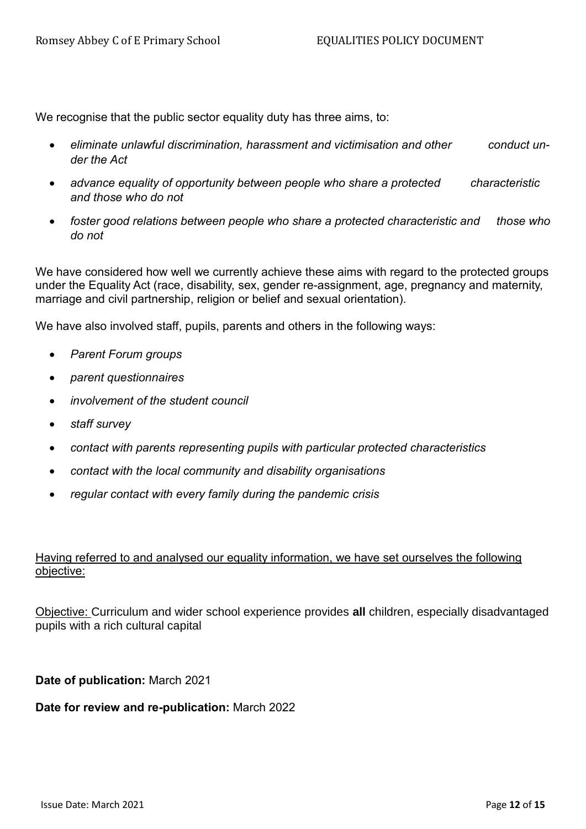We recognise that the public sector equality duty has three aims, to:

- *eliminate unlawful discrimination, harassment and victimisation and other conduct under the Act*
- *advance equality of opportunity between people who share a protected characteristic and those who do not*
- *foster good relations between people who share a protected characteristic and those who do not*

We have considered how well we currently achieve these aims with regard to the protected groups under the Equality Act (race, disability, sex, gender re-assignment, age, pregnancy and maternity, marriage and civil partnership, religion or belief and sexual orientation).

We have also involved staff, pupils, parents and others in the following ways:

- *Parent Forum groups*
- *parent questionnaires*
- *involvement of the student council*
- *staff survey*
- *contact with parents representing pupils with particular protected characteristics*
- *contact with the local community and disability organisations*
- *regular contact with every family during the pandemic crisis*

# Having referred to and analysed our equality information, we have set ourselves the following objective:

Objective: Curriculum and wider school experience provides **all** children, especially disadvantaged pupils with a rich cultural capital

**Date of publication:** March 2021

#### **Date for review and re-publication:** March 2022